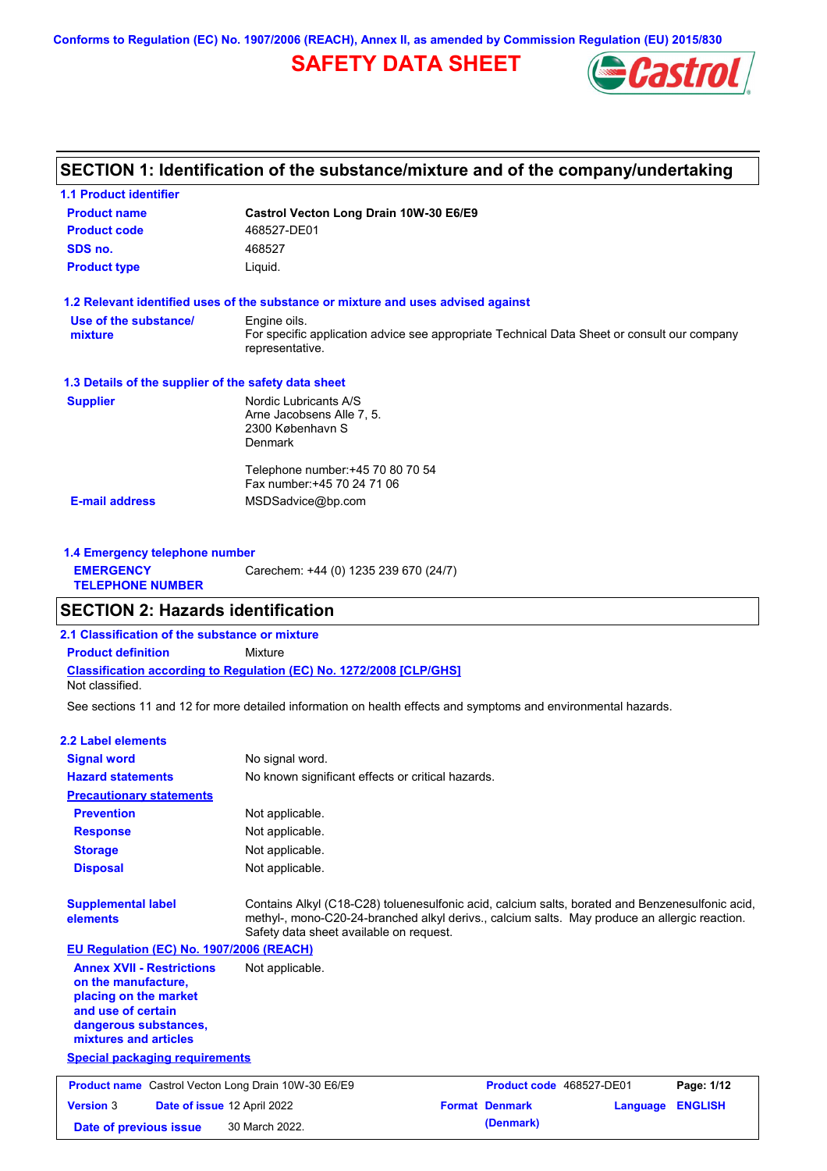**Conforms to Regulation (EC) No. 1907/2006 (REACH), Annex II, as amended by Commission Regulation (EU) 2015/830**

# **SAFETY DATA SHEET**



# **SECTION 1: Identification of the substance/mixture and of the company/undertaking**

| <b>1.1 Product identifier</b>                        |                                                                                                                |
|------------------------------------------------------|----------------------------------------------------------------------------------------------------------------|
| <b>Product name</b>                                  | Castrol Vecton Long Drain 10W-30 E6/E9                                                                         |
| <b>Product code</b>                                  | 468527-DE01                                                                                                    |
| SDS no.                                              | 468527                                                                                                         |
| <b>Product type</b>                                  | Liquid.                                                                                                        |
|                                                      | 1.2 Relevant identified uses of the substance or mixture and uses advised against                              |
| Use of the substance/                                | Engine oils.                                                                                                   |
| mixture                                              | For specific application advice see appropriate Technical Data Sheet or consult our company<br>representative. |
| 1.3 Details of the supplier of the safety data sheet |                                                                                                                |
| <b>Supplier</b>                                      | Nordic Lubricants A/S                                                                                          |
|                                                      | Arne Jacobsens Alle 7, 5.                                                                                      |
|                                                      | 2300 København S                                                                                               |
|                                                      | <b>Denmark</b>                                                                                                 |
|                                                      | Telephone number: +45 70 80 70 54                                                                              |
|                                                      | Fax number: +45 70 24 71 06                                                                                    |
| <b>E-mail address</b>                                | MSDSadvice@bp.com                                                                                              |
|                                                      |                                                                                                                |
|                                                      |                                                                                                                |

| 1.4 Emergency telephone number              |                                       |
|---------------------------------------------|---------------------------------------|
| <b>EMERGENCY</b><br><b>TELEPHONE NUMBER</b> | Carechem: +44 (0) 1235 239 670 (24/7) |

### **SECTION 2: Hazards identification**

**2.1 Classification of the substance or mixture**

**Classification according to Regulation (EC) No. 1272/2008 [CLP/GHS] Product definition** Mixture

Not classified.

See sections 11 and 12 for more detailed information on health effects and symptoms and environmental hazards.

#### **2.2 Label elements**

| <b>Signal word</b>                                                                                                                                       | No signal word.                                                                                                                                                                                                                             |
|----------------------------------------------------------------------------------------------------------------------------------------------------------|---------------------------------------------------------------------------------------------------------------------------------------------------------------------------------------------------------------------------------------------|
| <b>Hazard statements</b>                                                                                                                                 | No known significant effects or critical hazards.                                                                                                                                                                                           |
| <b>Precautionary statements</b>                                                                                                                          |                                                                                                                                                                                                                                             |
| <b>Prevention</b>                                                                                                                                        | Not applicable.                                                                                                                                                                                                                             |
| <b>Response</b>                                                                                                                                          | Not applicable.                                                                                                                                                                                                                             |
| <b>Storage</b>                                                                                                                                           | Not applicable.                                                                                                                                                                                                                             |
| <b>Disposal</b>                                                                                                                                          | Not applicable.                                                                                                                                                                                                                             |
| <b>Supplemental label</b><br>elements<br>EU Regulation (EC) No. 1907/2006 (REACH)                                                                        | Contains Alkyl (C18-C28) toluenesulfonic acid, calcium salts, borated and Benzenesulfonic acid,<br>methyl-, mono-C20-24-branched alkyl derivs., calcium salts. May produce an allergic reaction.<br>Safety data sheet available on request. |
| <b>Annex XVII - Restrictions</b><br>on the manufacture,<br>placing on the market<br>and use of certain<br>dangerous substances,<br>mixtures and articles | Not applicable.                                                                                                                                                                                                                             |
| <b>Special packaging requirements</b>                                                                                                                    |                                                                                                                                                                                                                                             |
| <b>Product name</b> Castrol Vecton Long Drain 10W-30 E6/E9                                                                                               | Product code 468527-DE01<br>Page: 1/12                                                                                                                                                                                                      |
| <b>Version 3</b>                                                                                                                                         | <b>Format Denmark</b><br><b>ENGLISH</b><br>Date of issue 12 April 2022<br>Language                                                                                                                                                          |
| Date of previous issue                                                                                                                                   | (Denmark)<br>30 March 2022.                                                                                                                                                                                                                 |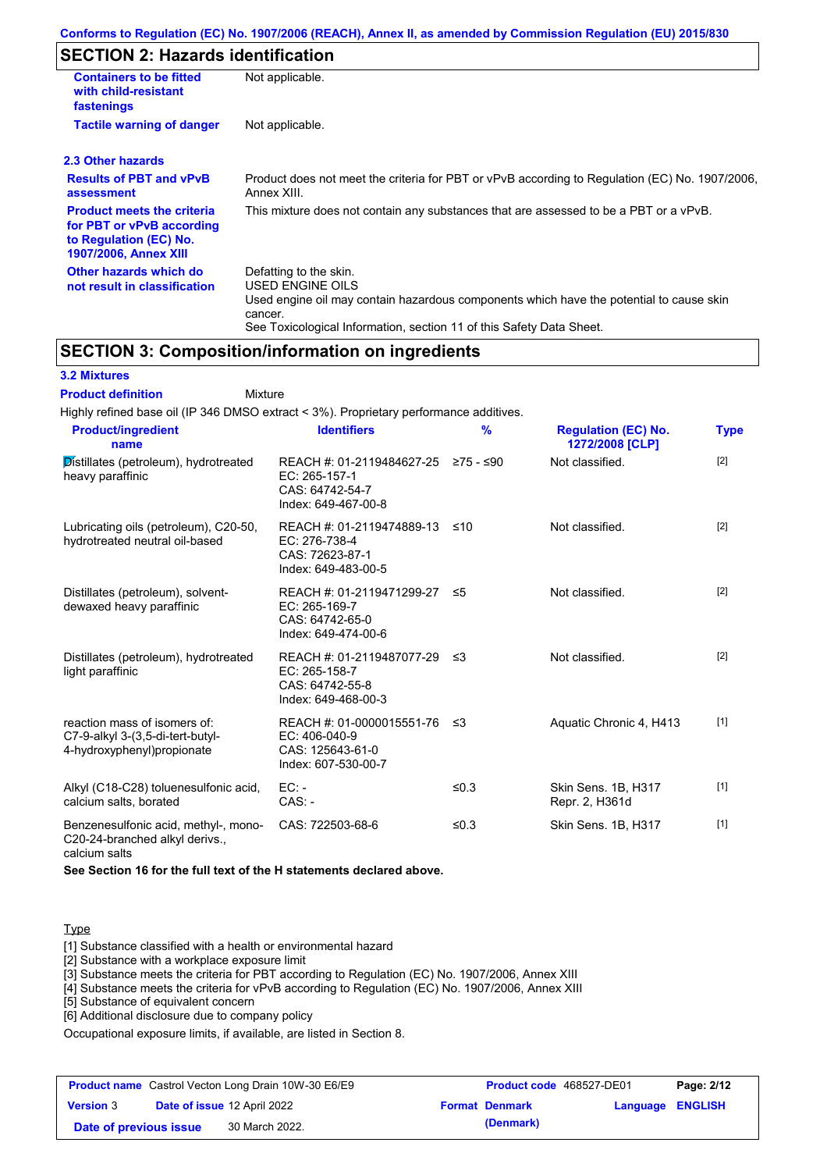# **SECTION 2: Hazards identification**

| <b>Containers to be fitted</b><br>with child-resistant<br>fastenings                                                     | Not applicable.                                                                                                                                                                                                          |  |  |
|--------------------------------------------------------------------------------------------------------------------------|--------------------------------------------------------------------------------------------------------------------------------------------------------------------------------------------------------------------------|--|--|
| <b>Tactile warning of danger</b>                                                                                         | Not applicable.                                                                                                                                                                                                          |  |  |
| 2.3 Other hazards                                                                                                        |                                                                                                                                                                                                                          |  |  |
| <b>Results of PBT and vPvB</b><br>assessment                                                                             | Product does not meet the criteria for PBT or vPvB according to Regulation (EC) No. 1907/2006,<br>Annex XIII.                                                                                                            |  |  |
| <b>Product meets the criteria</b><br>for PBT or vPvB according<br>to Regulation (EC) No.<br><b>1907/2006, Annex XIII</b> | This mixture does not contain any substances that are assessed to be a PBT or a vPvB.                                                                                                                                    |  |  |
| Other hazards which do<br>not result in classification                                                                   | Defatting to the skin.<br>USED ENGINE OILS<br>Used engine oil may contain hazardous components which have the potential to cause skin<br>cancer.<br>See Toxicological Information, section 11 of this Safety Data Sheet. |  |  |

### **SECTION 3: Composition/information on ingredients**

### **3.2 Mixtures**

Mixture **Product definition**

| Highly refined base oil (IP 346 DMSO extract < 3%). Proprietary performance additives.          |                                                                                         |           |                                               |             |
|-------------------------------------------------------------------------------------------------|-----------------------------------------------------------------------------------------|-----------|-----------------------------------------------|-------------|
| <b>Product/ingredient</b><br>name                                                               | <b>Identifiers</b>                                                                      | $\%$      | <b>Regulation (EC) No.</b><br>1272/2008 [CLP] | <b>Type</b> |
| Distillates (petroleum), hydrotreated<br>heavy paraffinic                                       | REACH #: 01-2119484627-25<br>EC: 265-157-1<br>CAS: 64742-54-7<br>Index: 649-467-00-8    | 275 - ≤90 | Not classified.                               | $[2]$       |
| Lubricating oils (petroleum), C20-50,<br>hydrotreated neutral oil-based                         | REACH #: 01-2119474889-13<br>EC: 276-738-4<br>CAS: 72623-87-1<br>Index: 649-483-00-5    | ≤10       | Not classified.                               | $[2]$       |
| Distillates (petroleum), solvent-<br>dewaxed heavy paraffinic                                   | REACH #: 01-2119471299-27<br>EC: 265-169-7<br>CAS: 64742-65-0<br>Index: 649-474-00-6    | ≤5        | Not classified.                               | $[2]$       |
| Distillates (petroleum), hydrotreated<br>light paraffinic                                       | REACH #: 01-2119487077-29<br>EC: 265-158-7<br>CAS: 64742-55-8<br>Index: 649-468-00-3    | -≤3       | Not classified.                               | $[2]$       |
| reaction mass of isomers of:<br>C7-9-alkyl 3-(3,5-di-tert-butyl-<br>4-hydroxyphenyl) propionate | REACH #: 01-0000015551-76<br>$EC: 406-040-9$<br>CAS: 125643-61-0<br>Index: 607-530-00-7 | ึ ≤3      | Aquatic Chronic 4, H413                       | $[1]$       |
| Alkyl (C18-C28) toluenesulfonic acid,<br>calcium salts, borated                                 | $EC: -$<br>$CAS. -$                                                                     | ≤ $0.3$   | Skin Sens. 1B, H317<br>Repr. 2, H361d         | $[1]$       |
| Benzenesulfonic acid, methyl-, mono-<br>C20-24-branched alkyl derivs.,                          | CAS: 722503-68-6                                                                        | ≤0.3      | Skin Sens. 1B, H317                           | $[1]$       |

calcium salts

**See Section 16 for the full text of the H statements declared above.**

#### Type

[1] Substance classified with a health or environmental hazard

[2] Substance with a workplace exposure limit

[3] Substance meets the criteria for PBT according to Regulation (EC) No. 1907/2006, Annex XIII

[4] Substance meets the criteria for vPvB according to Regulation (EC) No. 1907/2006, Annex XIII

[5] Substance of equivalent concern

[6] Additional disclosure due to company policy

Occupational exposure limits, if available, are listed in Section 8.

|                        | <b>Product name</b> Castrol Vecton Long Drain 10W-30 E6/E9 | Product code 468527-DE01 |                  | Page: 2/12 |
|------------------------|------------------------------------------------------------|--------------------------|------------------|------------|
| <b>Version 3</b>       | <b>Date of issue 12 April 2022</b>                         | <b>Format Denmark</b>    | Language ENGLISH |            |
| Date of previous issue | 30 March 2022.                                             | (Denmark)                |                  |            |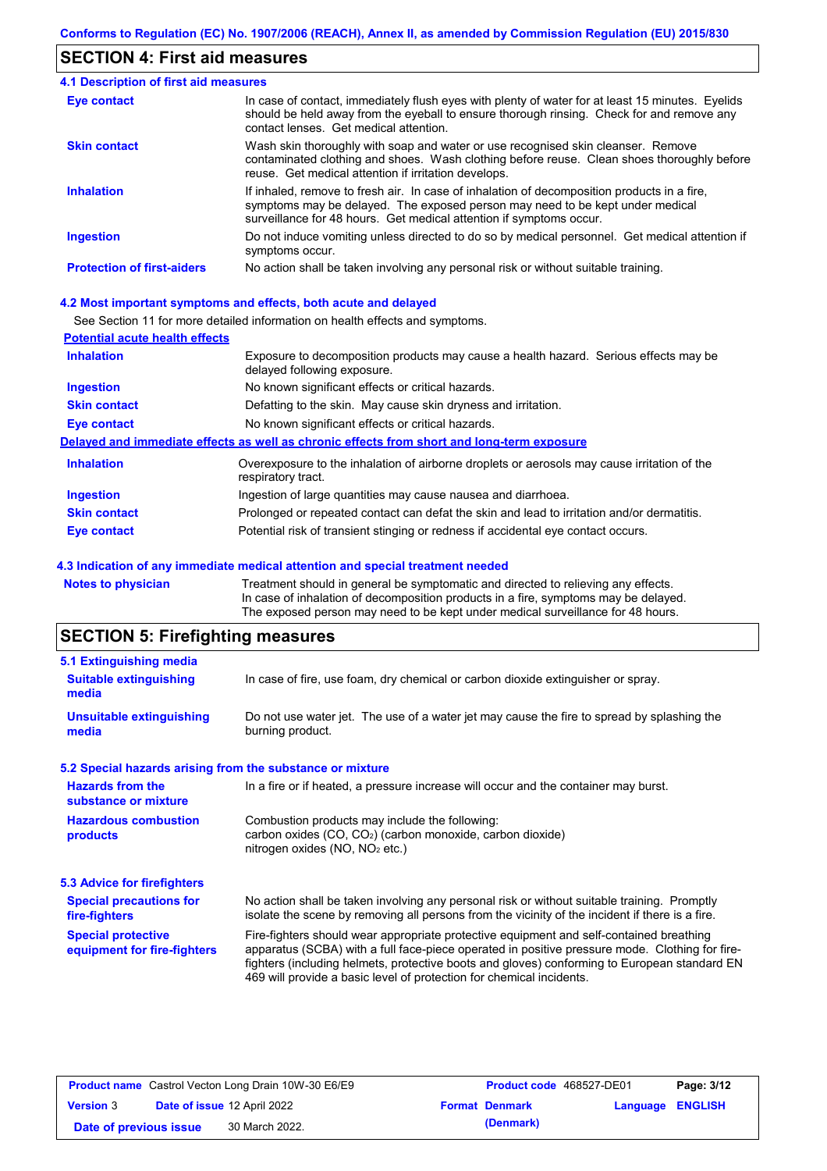## **SECTION 4: First aid measures**

| 4.1 Description of first aid measures |                                                                                                                                                                                                                                                     |
|---------------------------------------|-----------------------------------------------------------------------------------------------------------------------------------------------------------------------------------------------------------------------------------------------------|
| Eye contact                           | In case of contact, immediately flush eyes with plenty of water for at least 15 minutes. Eyelids<br>should be held away from the eyeball to ensure thorough rinsing. Check for and remove any<br>contact lenses. Get medical attention.             |
| <b>Skin contact</b>                   | Wash skin thoroughly with soap and water or use recognised skin cleanser. Remove<br>contaminated clothing and shoes. Wash clothing before reuse. Clean shoes thoroughly before<br>reuse. Get medical attention if irritation develops.              |
| <b>Inhalation</b>                     | If inhaled, remove to fresh air. In case of inhalation of decomposition products in a fire,<br>symptoms may be delayed. The exposed person may need to be kept under medical<br>surveillance for 48 hours. Get medical attention if symptoms occur. |
| <b>Ingestion</b>                      | Do not induce vomiting unless directed to do so by medical personnel. Get medical attention if<br>symptoms occur.                                                                                                                                   |
| <b>Protection of first-aiders</b>     | No action shall be taken involving any personal risk or without suitable training.                                                                                                                                                                  |

#### **4.2 Most important symptoms and effects, both acute and delayed**

See Section 11 for more detailed information on health effects and symptoms.

| <b>Potential acute health effects</b> |                                                                                                                     |
|---------------------------------------|---------------------------------------------------------------------------------------------------------------------|
| <b>Inhalation</b>                     | Exposure to decomposition products may cause a health hazard. Serious effects may be<br>delayed following exposure. |
| <b>Ingestion</b>                      | No known significant effects or critical hazards.                                                                   |
| <b>Skin contact</b>                   | Defatting to the skin. May cause skin dryness and irritation.                                                       |
| <b>Eye contact</b>                    | No known significant effects or critical hazards.                                                                   |
|                                       | Delayed and immediate effects as well as chronic effects from short and long-term exposure                          |
| <b>Inhalation</b>                     | Overexposure to the inhalation of airborne droplets or aerosols may cause irritation of the<br>respiratory tract.   |
| <b>Ingestion</b>                      | Ingestion of large quantities may cause nausea and diarrhoea.                                                       |
| <b>Skin contact</b>                   | Prolonged or repeated contact can defat the skin and lead to irritation and/or dermatitis.                          |
| Eye contact                           | Potential risk of transient stinging or redness if accidental eye contact occurs.                                   |
|                                       |                                                                                                                     |

#### **4.3 Indication of any immediate medical attention and special treatment needed**

**Notes to physician** Treatment should in general be symptomatic and directed to relieving any effects. In case of inhalation of decomposition products in a fire, symptoms may be delayed. The exposed person may need to be kept under medical surveillance for 48 hours.

# **SECTION 5: Firefighting measures**

| 5.1 Extinguishing media                                                                                                                                                                                                                                                                                                                                                                                                       |                                                                                                                                                                                                |  |  |  |
|-------------------------------------------------------------------------------------------------------------------------------------------------------------------------------------------------------------------------------------------------------------------------------------------------------------------------------------------------------------------------------------------------------------------------------|------------------------------------------------------------------------------------------------------------------------------------------------------------------------------------------------|--|--|--|
| In case of fire, use foam, dry chemical or carbon dioxide extinguisher or spray.<br><b>Suitable extinguishing</b><br>media                                                                                                                                                                                                                                                                                                    |                                                                                                                                                                                                |  |  |  |
| <b>Unsuitable extinguishing</b><br>media                                                                                                                                                                                                                                                                                                                                                                                      | Do not use water jet. The use of a water jet may cause the fire to spread by splashing the<br>burning product.                                                                                 |  |  |  |
|                                                                                                                                                                                                                                                                                                                                                                                                                               | 5.2 Special hazards arising from the substance or mixture                                                                                                                                      |  |  |  |
| <b>Hazards from the</b><br>substance or mixture                                                                                                                                                                                                                                                                                                                                                                               | In a fire or if heated, a pressure increase will occur and the container may burst.                                                                                                            |  |  |  |
| <b>Hazardous combustion</b><br>products                                                                                                                                                                                                                                                                                                                                                                                       | Combustion products may include the following:<br>carbon oxides $(CO, CO2)$ (carbon monoxide, carbon dioxide)<br>nitrogen oxides ( $NO$ , $NO2$ etc.)                                          |  |  |  |
| 5.3 Advice for firefighters                                                                                                                                                                                                                                                                                                                                                                                                   |                                                                                                                                                                                                |  |  |  |
| <b>Special precautions for</b><br>fire-fighters                                                                                                                                                                                                                                                                                                                                                                               | No action shall be taken involving any personal risk or without suitable training. Promptly<br>isolate the scene by removing all persons from the vicinity of the incident if there is a fire. |  |  |  |
| <b>Special protective</b><br>Fire-fighters should wear appropriate protective equipment and self-contained breathing<br>apparatus (SCBA) with a full face-piece operated in positive pressure mode. Clothing for fire-<br>equipment for fire-fighters<br>fighters (including helmets, protective boots and gloves) conforming to European standard EN<br>469 will provide a basic level of protection for chemical incidents. |                                                                                                                                                                                                |  |  |  |

|                        | <b>Product name</b> Castrol Vecton Long Drain 10W-30 E6/E9 | <b>Product code</b> 468527-DE01 |                         | Page: 3/12 |
|------------------------|------------------------------------------------------------|---------------------------------|-------------------------|------------|
| <b>Version 3</b>       | Date of issue 12 April 2022                                | <b>Format Denmark</b>           | <b>Language ENGLISH</b> |            |
| Date of previous issue | 30 March 2022.                                             | (Denmark)                       |                         |            |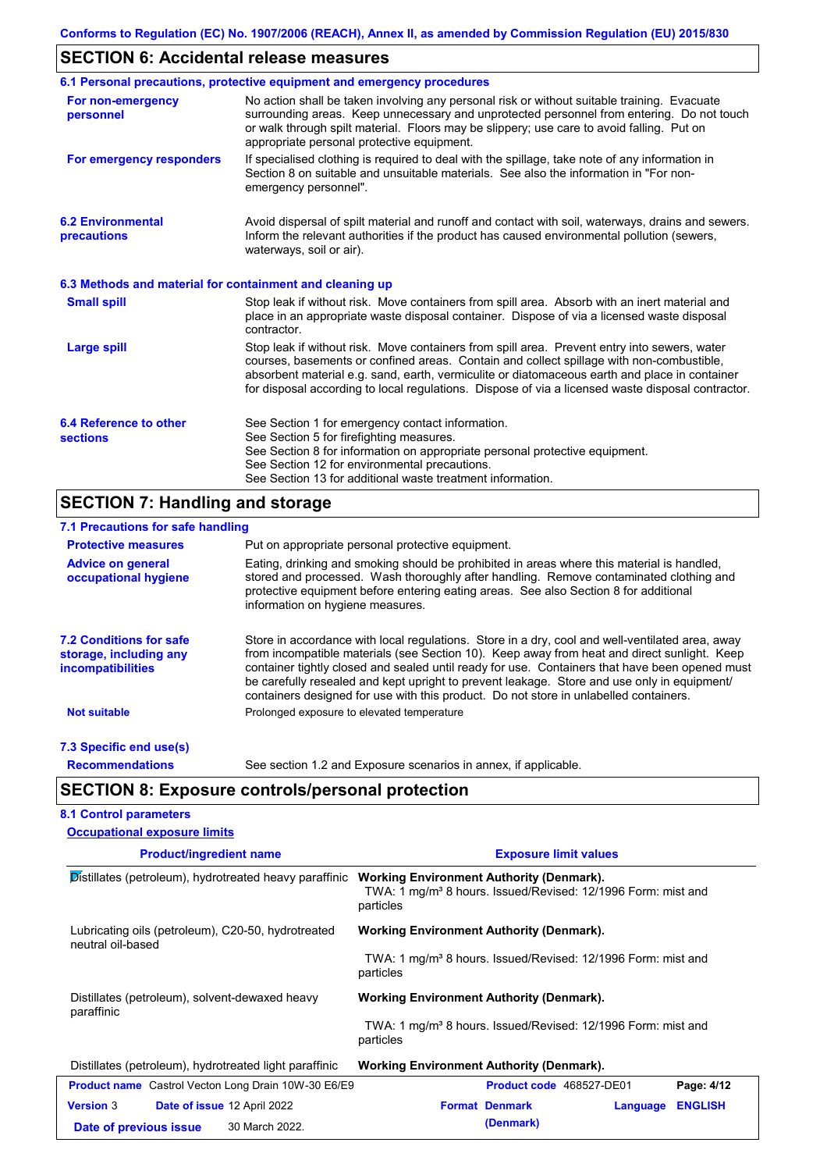# **SECTION 6: Accidental release measures**

|                                                          | 6.1 Personal precautions, protective equipment and emergency procedures                                                                                                                                                                                                                                                                                                                        |
|----------------------------------------------------------|------------------------------------------------------------------------------------------------------------------------------------------------------------------------------------------------------------------------------------------------------------------------------------------------------------------------------------------------------------------------------------------------|
| For non-emergency<br>personnel                           | No action shall be taken involving any personal risk or without suitable training. Evacuate<br>surrounding areas. Keep unnecessary and unprotected personnel from entering. Do not touch<br>or walk through spilt material. Floors may be slippery; use care to avoid falling. Put on<br>appropriate personal protective equipment.                                                            |
| For emergency responders                                 | If specialised clothing is required to deal with the spillage, take note of any information in<br>Section 8 on suitable and unsuitable materials. See also the information in "For non-<br>emergency personnel".                                                                                                                                                                               |
| <b>6.2 Environmental</b><br>precautions                  | Avoid dispersal of spilt material and runoff and contact with soil, waterways, drains and sewers.<br>Inform the relevant authorities if the product has caused environmental pollution (sewers,<br>waterways, soil or air).                                                                                                                                                                    |
| 6.3 Methods and material for containment and cleaning up |                                                                                                                                                                                                                                                                                                                                                                                                |
| <b>Small spill</b>                                       | Stop leak if without risk. Move containers from spill area. Absorb with an inert material and<br>place in an appropriate waste disposal container. Dispose of via a licensed waste disposal<br>contractor.                                                                                                                                                                                     |
| Large spill                                              | Stop leak if without risk. Move containers from spill area. Prevent entry into sewers, water<br>courses, basements or confined areas. Contain and collect spillage with non-combustible,<br>absorbent material e.g. sand, earth, vermiculite or diatomaceous earth and place in container<br>for disposal according to local regulations. Dispose of via a licensed waste disposal contractor. |
| 6.4 Reference to other<br><b>sections</b>                | See Section 1 for emergency contact information.<br>See Section 5 for firefighting measures.<br>See Section 8 for information on appropriate personal protective equipment.<br>See Section 12 for environmental precautions.<br>See Section 13 for additional waste treatment information.                                                                                                     |

# **SECTION 7: Handling and storage**

| 7.1 Precautions for safe handling                                                    |                                                                                                                                                                                                                                                                                                                                                                                                                                                                                          |  |  |  |
|--------------------------------------------------------------------------------------|------------------------------------------------------------------------------------------------------------------------------------------------------------------------------------------------------------------------------------------------------------------------------------------------------------------------------------------------------------------------------------------------------------------------------------------------------------------------------------------|--|--|--|
| <b>Protective measures</b>                                                           | Put on appropriate personal protective equipment.                                                                                                                                                                                                                                                                                                                                                                                                                                        |  |  |  |
| <b>Advice on general</b><br>occupational hygiene                                     | Eating, drinking and smoking should be prohibited in areas where this material is handled,<br>stored and processed. Wash thoroughly after handling. Remove contaminated clothing and<br>protective equipment before entering eating areas. See also Section 8 for additional<br>information on hygiene measures.                                                                                                                                                                         |  |  |  |
| <b>7.2 Conditions for safe</b><br>storage, including any<br><i>incompatibilities</i> | Store in accordance with local regulations. Store in a dry, cool and well-ventilated area, away<br>from incompatible materials (see Section 10). Keep away from heat and direct sunlight. Keep<br>container tightly closed and sealed until ready for use. Containers that have been opened must<br>be carefully resealed and kept upright to prevent leakage. Store and use only in equipment/<br>containers designed for use with this product. Do not store in unlabelled containers. |  |  |  |
| <b>Not suitable</b>                                                                  | Prolonged exposure to elevated temperature                                                                                                                                                                                                                                                                                                                                                                                                                                               |  |  |  |
| 7.3 Specific end use(s)                                                              |                                                                                                                                                                                                                                                                                                                                                                                                                                                                                          |  |  |  |
| <b>Recommendations</b>                                                               | See section 1.2 and Exposure scenarios in annex, if applicable.                                                                                                                                                                                                                                                                                                                                                                                                                          |  |  |  |
|                                                                                      | <b>SECTION 8: Exposure controls/personal protection</b>                                                                                                                                                                                                                                                                                                                                                                                                                                  |  |  |  |
| <b>8.1 Control parameters</b>                                                        |                                                                                                                                                                                                                                                                                                                                                                                                                                                                                          |  |  |  |
| <b>Occupational exposure limits</b>                                                  |                                                                                                                                                                                                                                                                                                                                                                                                                                                                                          |  |  |  |

| <b>Product/ingredient name</b>                                          | <b>Exposure limit values</b>                                                                                                             |  |  |  |  |
|-------------------------------------------------------------------------|------------------------------------------------------------------------------------------------------------------------------------------|--|--|--|--|
| Distillates (petroleum), hydrotreated heavy paraffinic                  | <b>Working Environment Authority (Denmark).</b><br>TWA: 1 mg/m <sup>3</sup> 8 hours. Issued/Revised: 12/1996 Form: mist and<br>particles |  |  |  |  |
| Lubricating oils (petroleum), C20-50, hydrotreated<br>neutral oil-based | <b>Working Environment Authority (Denmark).</b>                                                                                          |  |  |  |  |
|                                                                         | TWA: 1 mg/m <sup>3</sup> 8 hours. Issued/Revised: 12/1996 Form: mist and<br>particles                                                    |  |  |  |  |
| Distillates (petroleum), solvent-dewaxed heavy<br>paraffinic            | <b>Working Environment Authority (Denmark).</b>                                                                                          |  |  |  |  |
|                                                                         | TWA: 1 mg/m <sup>3</sup> 8 hours. Issued/Revised: 12/1996 Form: mist and<br>particles                                                    |  |  |  |  |
| Distillates (petroleum), hydrotreated light paraffinic                  | <b>Working Environment Authority (Denmark).</b>                                                                                          |  |  |  |  |
| <b>Product name</b> Castrol Vecton Long Drain 10W-30 E6/E9              | Product code 468527-DE01<br>Page: 4/12                                                                                                   |  |  |  |  |
| <b>Version 3</b><br><b>Date of issue 12 April 2022</b>                  | <b>Format Denmark</b><br><b>ENGLISH</b><br>Language                                                                                      |  |  |  |  |
| 30 March 2022.<br>Date of previous issue                                | (Denmark)                                                                                                                                |  |  |  |  |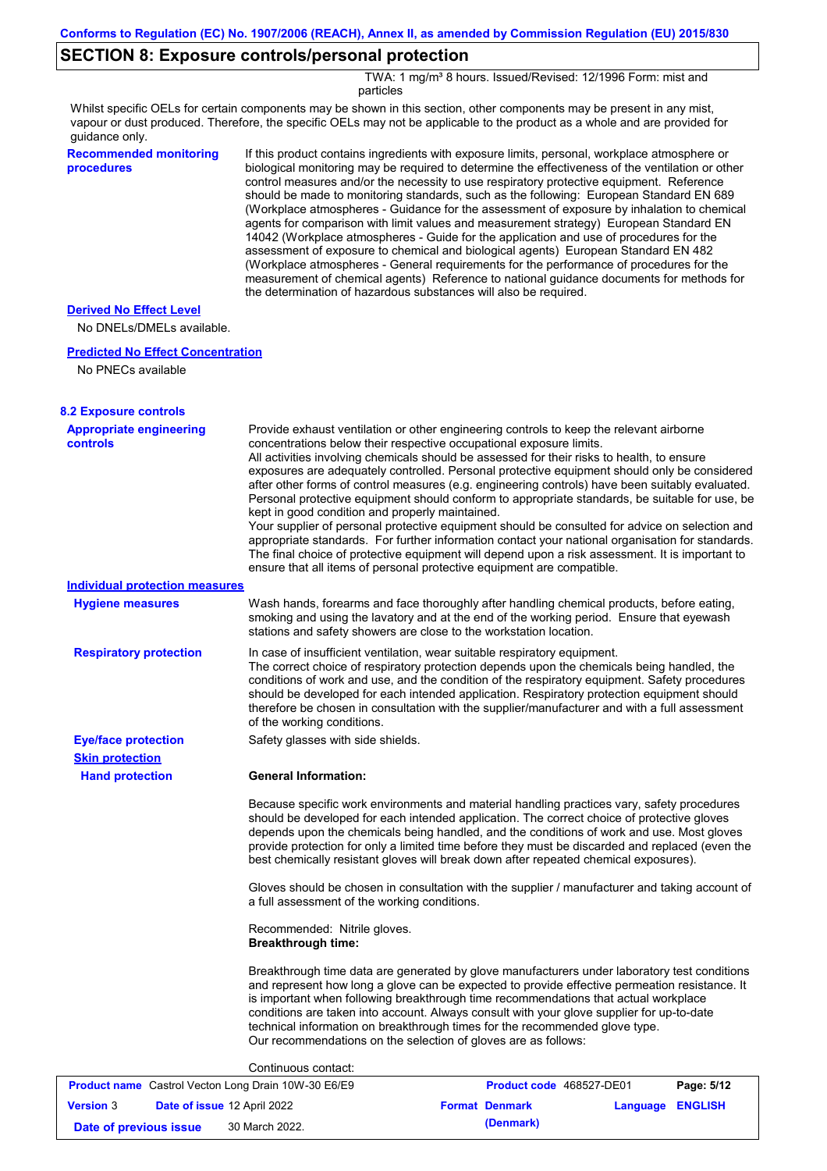## **SECTION 8: Exposure controls/personal protection**

TWA: 1 mg/m<sup>3</sup> 8 hours. Issued/Revised: 12/1996 Form: mist and particles

Whilst specific OELs for certain components may be shown in this section, other components may be present in any mist, vapour or dust produced. Therefore, the specific OELs may not be applicable to the product as a whole and are provided for guidance only.

| guiuarice only.                                   |                                                                                                                                                                                                                                                                                                                                                                                                                                                                                                                                                                                                                                                                                                                                                                                                                                                                                                                                                                                                                            |
|---------------------------------------------------|----------------------------------------------------------------------------------------------------------------------------------------------------------------------------------------------------------------------------------------------------------------------------------------------------------------------------------------------------------------------------------------------------------------------------------------------------------------------------------------------------------------------------------------------------------------------------------------------------------------------------------------------------------------------------------------------------------------------------------------------------------------------------------------------------------------------------------------------------------------------------------------------------------------------------------------------------------------------------------------------------------------------------|
| <b>Recommended monitoring</b><br>procedures       | If this product contains ingredients with exposure limits, personal, workplace atmosphere or<br>biological monitoring may be required to determine the effectiveness of the ventilation or other<br>control measures and/or the necessity to use respiratory protective equipment. Reference<br>should be made to monitoring standards, such as the following: European Standard EN 689<br>(Workplace atmospheres - Guidance for the assessment of exposure by inhalation to chemical<br>agents for comparison with limit values and measurement strategy) European Standard EN<br>14042 (Workplace atmospheres - Guide for the application and use of procedures for the<br>assessment of exposure to chemical and biological agents) European Standard EN 482<br>(Workplace atmospheres - General requirements for the performance of procedures for the<br>measurement of chemical agents) Reference to national guidance documents for methods for<br>the determination of hazardous substances will also be required. |
| <b>Derived No Effect Level</b>                    |                                                                                                                                                                                                                                                                                                                                                                                                                                                                                                                                                                                                                                                                                                                                                                                                                                                                                                                                                                                                                            |
| No DNELs/DMELs available.                         |                                                                                                                                                                                                                                                                                                                                                                                                                                                                                                                                                                                                                                                                                                                                                                                                                                                                                                                                                                                                                            |
| <b>Predicted No Effect Concentration</b>          |                                                                                                                                                                                                                                                                                                                                                                                                                                                                                                                                                                                                                                                                                                                                                                                                                                                                                                                                                                                                                            |
| No PNECs available                                |                                                                                                                                                                                                                                                                                                                                                                                                                                                                                                                                                                                                                                                                                                                                                                                                                                                                                                                                                                                                                            |
| <b>8.2 Exposure controls</b>                      |                                                                                                                                                                                                                                                                                                                                                                                                                                                                                                                                                                                                                                                                                                                                                                                                                                                                                                                                                                                                                            |
| <b>Appropriate engineering</b><br><b>controls</b> | Provide exhaust ventilation or other engineering controls to keep the relevant airborne<br>concentrations below their respective occupational exposure limits.<br>All activities involving chemicals should be assessed for their risks to health, to ensure<br>exposures are adequately controlled. Personal protective equipment should only be considered<br>after other forms of control measures (e.g. engineering controls) have been suitably evaluated.<br>Personal protective equipment should conform to appropriate standards, be suitable for use, be<br>kept in good condition and properly maintained.<br>Your supplier of personal protective equipment should be consulted for advice on selection and<br>appropriate standards. For further information contact your national organisation for standards.<br>The final choice of protective equipment will depend upon a risk assessment. It is important to<br>ensure that all items of personal protective equipment are compatible.                    |
| <b>Individual protection measures</b>             |                                                                                                                                                                                                                                                                                                                                                                                                                                                                                                                                                                                                                                                                                                                                                                                                                                                                                                                                                                                                                            |
| <b>Hygiene measures</b>                           | Wash hands, forearms and face thoroughly after handling chemical products, before eating,<br>smoking and using the lavatory and at the end of the working period. Ensure that eyewash<br>stations and safety showers are close to the workstation location.                                                                                                                                                                                                                                                                                                                                                                                                                                                                                                                                                                                                                                                                                                                                                                |
| <b>Respiratory protection</b>                     | In case of insufficient ventilation, wear suitable respiratory equipment.<br>The correct choice of respiratory protection depends upon the chemicals being handled, the<br>conditions of work and use, and the condition of the respiratory equipment. Safety procedures<br>should be developed for each intended application. Respiratory protection equipment should<br>therefore be chosen in consultation with the supplier/manufacturer and with a full assessment<br>of the working conditions.                                                                                                                                                                                                                                                                                                                                                                                                                                                                                                                      |
| <b>Eye/face protection</b>                        | Safety glasses with side shields.                                                                                                                                                                                                                                                                                                                                                                                                                                                                                                                                                                                                                                                                                                                                                                                                                                                                                                                                                                                          |
| <b>Skin protection</b>                            |                                                                                                                                                                                                                                                                                                                                                                                                                                                                                                                                                                                                                                                                                                                                                                                                                                                                                                                                                                                                                            |
| <b>Hand protection</b>                            | <b>General Information:</b>                                                                                                                                                                                                                                                                                                                                                                                                                                                                                                                                                                                                                                                                                                                                                                                                                                                                                                                                                                                                |
|                                                   | Because specific work environments and material handling practices vary, safety procedures<br>should be developed for each intended application. The correct choice of protective gloves<br>depends upon the chemicals being handled, and the conditions of work and use. Most gloves<br>provide protection for only a limited time before they must be discarded and replaced (even the<br>best chemically resistant gloves will break down after repeated chemical exposures).                                                                                                                                                                                                                                                                                                                                                                                                                                                                                                                                           |
|                                                   | Gloves should be chosen in consultation with the supplier / manufacturer and taking account of<br>a full assessment of the working conditions.                                                                                                                                                                                                                                                                                                                                                                                                                                                                                                                                                                                                                                                                                                                                                                                                                                                                             |
|                                                   | Recommended: Nitrile gloves.<br><b>Breakthrough time:</b>                                                                                                                                                                                                                                                                                                                                                                                                                                                                                                                                                                                                                                                                                                                                                                                                                                                                                                                                                                  |
|                                                   |                                                                                                                                                                                                                                                                                                                                                                                                                                                                                                                                                                                                                                                                                                                                                                                                                                                                                                                                                                                                                            |

Breakthrough time data are generated by glove manufacturers under laboratory test conditions and represent how long a glove can be expected to provide effective permeation resistance. It is important when following breakthrough time recommendations that actual workplace conditions are taken into account. Always consult with your glove supplier for up-to-date technical information on breakthrough times for the recommended glove type. Our recommendations on the selection of gloves are as follows:

#### Continuous contact:

| <b>Product name</b> Castrol Vecton Long Drain 10W-30 E6/E9 |  |                                    | <b>Product code</b> 468527-DE01 | Page: 5/12              |  |
|------------------------------------------------------------|--|------------------------------------|---------------------------------|-------------------------|--|
| <b>Version 3</b>                                           |  | <b>Date of issue 12 April 2022</b> | <b>Format Denmark</b>           | <b>Language ENGLISH</b> |  |
| Date of previous issue                                     |  | 30 March 2022.                     | (Denmark)                       |                         |  |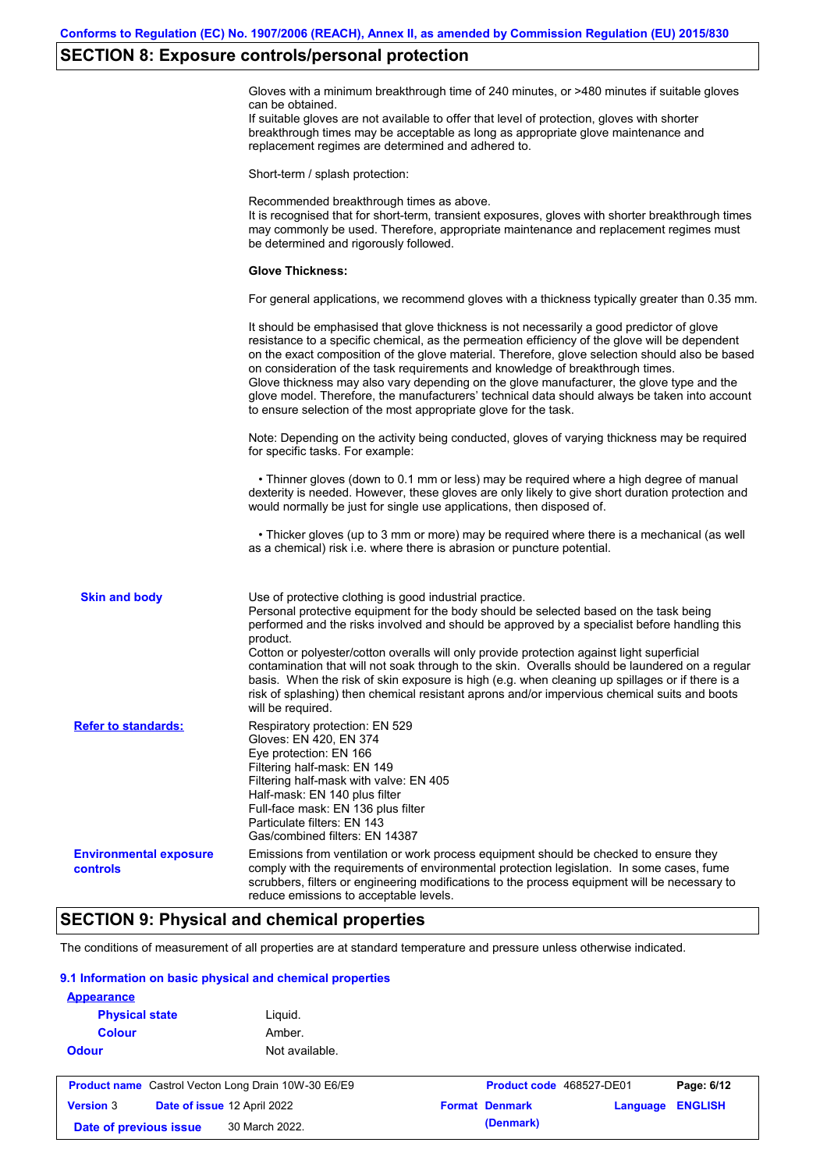### **SECTION 8: Exposure controls/personal protection**

Gloves with a minimum breakthrough time of 240 minutes, or >480 minutes if suitable gloves can be obtained.

If suitable gloves are not available to offer that level of protection, gloves with shorter breakthrough times may be acceptable as long as appropriate glove maintenance and replacement regimes are determined and adhered to.

Short-term / splash protection:

Recommended breakthrough times as above. It is recognised that for short-term, transient exposures, gloves with shorter breakthrough times may commonly be used. Therefore, appropriate maintenance and replacement regimes must be determined and rigorously followed. **Glove Thickness:** For general applications, we recommend gloves with a thickness typically greater than 0.35 mm. It should be emphasised that glove thickness is not necessarily a good predictor of glove resistance to a specific chemical, as the permeation efficiency of the glove will be dependent on the exact composition of the glove material. Therefore, glove selection should also be based on consideration of the task requirements and knowledge of breakthrough times. Glove thickness may also vary depending on the glove manufacturer, the glove type and the glove model. Therefore, the manufacturers' technical data should always be taken into account to ensure selection of the most appropriate glove for the task. Note: Depending on the activity being conducted, gloves of varying thickness may be required for specific tasks. For example: • Thinner gloves (down to 0.1 mm or less) may be required where a high degree of manual dexterity is needed. However, these gloves are only likely to give short duration protection and would normally be just for single use applications, then disposed of. • Thicker gloves (up to 3 mm or more) may be required where there is a mechanical (as well as a chemical) risk i.e. where there is abrasion or puncture potential. Use of protective clothing is good industrial practice. Personal protective equipment for the body should be selected based on the task being performed and the risks involved and should be approved by a specialist before handling this product. Cotton or polyester/cotton overalls will only provide protection against light superficial contamination that will not soak through to the skin. Overalls should be laundered on a regular basis. When the risk of skin exposure is high (e.g. when cleaning up spillages or if there is a risk of splashing) then chemical resistant aprons and/or impervious chemical suits and boots will be required. **Environmental exposure controls** Emissions from ventilation or work process equipment should be checked to ensure they comply with the requirements of environmental protection legislation. In some cases, fume scrubbers, filters or engineering modifications to the process equipment will be necessary to reduce emissions to acceptable levels. **Skin and body Refer to standards:** Respiratory protection: EN 529 Gloves: EN 420, EN 374 Eye protection: EN 166 Filtering half-mask: EN 149 Filtering half-mask with valve: EN 405 Half-mask: EN 140 plus filter Full-face mask: EN 136 plus filter Particulate filters: EN 143 Gas/combined filters: EN 14387

## **SECTION 9: Physical and chemical properties**

The conditions of measurement of all properties are at standard temperature and pressure unless otherwise indicated.

#### **9.1 Information on basic physical and chemical properties**

| <b>Appearance</b>                                          |                             |                          |          |                |
|------------------------------------------------------------|-----------------------------|--------------------------|----------|----------------|
| <b>Physical state</b>                                      | Liquid.                     |                          |          |                |
| <b>Colour</b>                                              | Amber.                      |                          |          |                |
| <b>Odour</b>                                               | Not available.              |                          |          |                |
| <b>Product name</b> Castrol Vecton Long Drain 10W-30 E6/E9 |                             | Product code 468527-DE01 |          | Page: 6/12     |
| <b>Version 3</b>                                           | Date of issue 12 April 2022 | <b>Format Denmark</b>    | Language | <b>ENGLISH</b> |
| Date of previous issue                                     | 30 March 2022.              | (Denmark)                |          |                |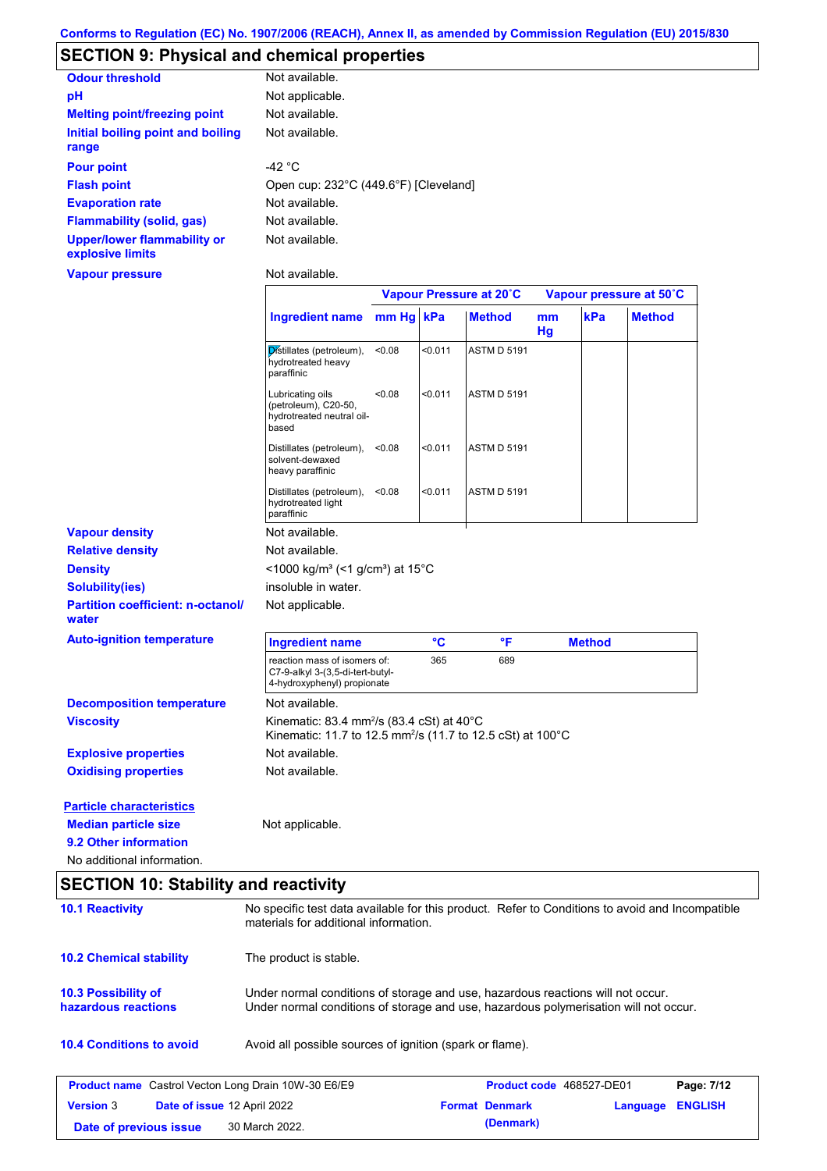# **SECTION 9: Physical and chemical properties**

| <b>Odour threshold</b>                                 | Not available.                        |
|--------------------------------------------------------|---------------------------------------|
| рH                                                     | Not applicable.                       |
| <b>Melting point/freezing point</b>                    | Not available.                        |
| Initial boiling point and boiling<br>range             | Not available.                        |
| <b>Pour point</b>                                      | -42 $^{\circ}$ C                      |
| <b>Flash point</b>                                     | Open cup: 232°C (449.6°F) [Cleveland] |
| <b>Evaporation rate</b>                                | Not available.                        |
| <b>Flammability (solid, gas)</b>                       | Not available.                        |
| <b>Upper/lower flammability or</b><br>explosive limits | Not available.                        |

### **Vapour pressure**

Not available.

|                                                                |                                                                                                                                                                         | Vapour Pressure at 20°C |                 |                    | Vapour pressure at 50°C |               |               |
|----------------------------------------------------------------|-------------------------------------------------------------------------------------------------------------------------------------------------------------------------|-------------------------|-----------------|--------------------|-------------------------|---------------|---------------|
|                                                                | <b>Ingredient name</b>                                                                                                                                                  | mm Hg kPa               |                 | <b>Method</b>      | <sub>mm</sub><br>Hg     | kPa           | <b>Method</b> |
|                                                                | Distillates (petroleum),<br>hydrotreated heavy<br>paraffinic                                                                                                            | <0.08                   | < 0.011         | <b>ASTM D 5191</b> |                         |               |               |
|                                                                | Lubricating oils<br>(petroleum), C20-50,<br>hydrotreated neutral oil-<br>based                                                                                          | < 0.08                  | < 0.011         | <b>ASTM D 5191</b> |                         |               |               |
|                                                                | Distillates (petroleum),<br>solvent-dewaxed<br>heavy paraffinic                                                                                                         | < 0.08                  | < 0.011         | <b>ASTM D 5191</b> |                         |               |               |
|                                                                | Distillates (petroleum),<br>hydrotreated light<br>paraffinic                                                                                                            | < 0.08                  | < 0.011         | <b>ASTM D 5191</b> |                         |               |               |
| <b>Vapour density</b>                                          | Not available.                                                                                                                                                          |                         |                 |                    |                         |               |               |
| <b>Relative density</b>                                        | Not available.                                                                                                                                                          |                         |                 |                    |                         |               |               |
| <b>Density</b>                                                 | <1000 kg/m <sup>3</sup> (<1 g/cm <sup>3</sup> ) at 15°C                                                                                                                 |                         |                 |                    |                         |               |               |
| <b>Solubility(ies)</b>                                         | insoluble in water.                                                                                                                                                     |                         |                 |                    |                         |               |               |
| <b>Partition coefficient: n-octanol/</b><br>water              | Not applicable.                                                                                                                                                         |                         |                 |                    |                         |               |               |
| <b>Auto-ignition temperature</b>                               | <b>Ingredient name</b>                                                                                                                                                  |                         | $\rm ^{\circ}C$ | °F                 |                         | <b>Method</b> |               |
|                                                                | reaction mass of isomers of:<br>C7-9-alkyl 3-(3,5-di-tert-butyl-<br>4-hydroxyphenyl) propionate                                                                         |                         | 365             | 689                |                         |               |               |
| <b>Decomposition temperature</b>                               | Not available.                                                                                                                                                          |                         |                 |                    |                         |               |               |
| <b>Viscosity</b>                                               | Kinematic: 83.4 mm <sup>2</sup> /s (83.4 cSt) at 40°C<br>Kinematic: 11.7 to 12.5 mm <sup>2</sup> /s (11.7 to 12.5 cSt) at 100°C                                         |                         |                 |                    |                         |               |               |
| <b>Explosive properties</b>                                    | Not available.                                                                                                                                                          |                         |                 |                    |                         |               |               |
| <b>Oxidising properties</b>                                    | Not available.                                                                                                                                                          |                         |                 |                    |                         |               |               |
| <b>Particle characteristics</b><br><b>Median particle size</b> | Not applicable.                                                                                                                                                         |                         |                 |                    |                         |               |               |
| 9.2 Other information                                          |                                                                                                                                                                         |                         |                 |                    |                         |               |               |
| No additional information.                                     |                                                                                                                                                                         |                         |                 |                    |                         |               |               |
| <b>SECTION 10: Stability and reactivity</b>                    |                                                                                                                                                                         |                         |                 |                    |                         |               |               |
| <b>10.1 Reactivity</b>                                         | No specific test data available for this product. Refer to Conditions to avoid and Incompatible<br>materials for additional information.                                |                         |                 |                    |                         |               |               |
| <b>10.2 Chemical stability</b>                                 | The product is stable.                                                                                                                                                  |                         |                 |                    |                         |               |               |
| 10.3 Possibility of<br>hazardous reactions                     | Under normal conditions of storage and use, hazardous reactions will not occur.<br>Under normal conditions of storage and use, hazardous polymerisation will not occur. |                         |                 |                    |                         |               |               |
| <b>10.4 Conditions to avoid</b>                                | Avoid all possible sources of ignition (spark or flame).                                                                                                                |                         |                 |                    |                         |               |               |

| <b>Product name</b> Castrol Vecton Long Drain 10W-30 E6/E9 |  |                                    | <b>Product code</b> 468527-DE01 | Page: 7/12            |                         |  |
|------------------------------------------------------------|--|------------------------------------|---------------------------------|-----------------------|-------------------------|--|
| <b>Version 3</b>                                           |  | <b>Date of issue 12 April 2022</b> |                                 | <b>Format Denmark</b> | <b>Language ENGLISH</b> |  |
| Date of previous issue                                     |  | 30 March 2022.                     |                                 | (Denmark)             |                         |  |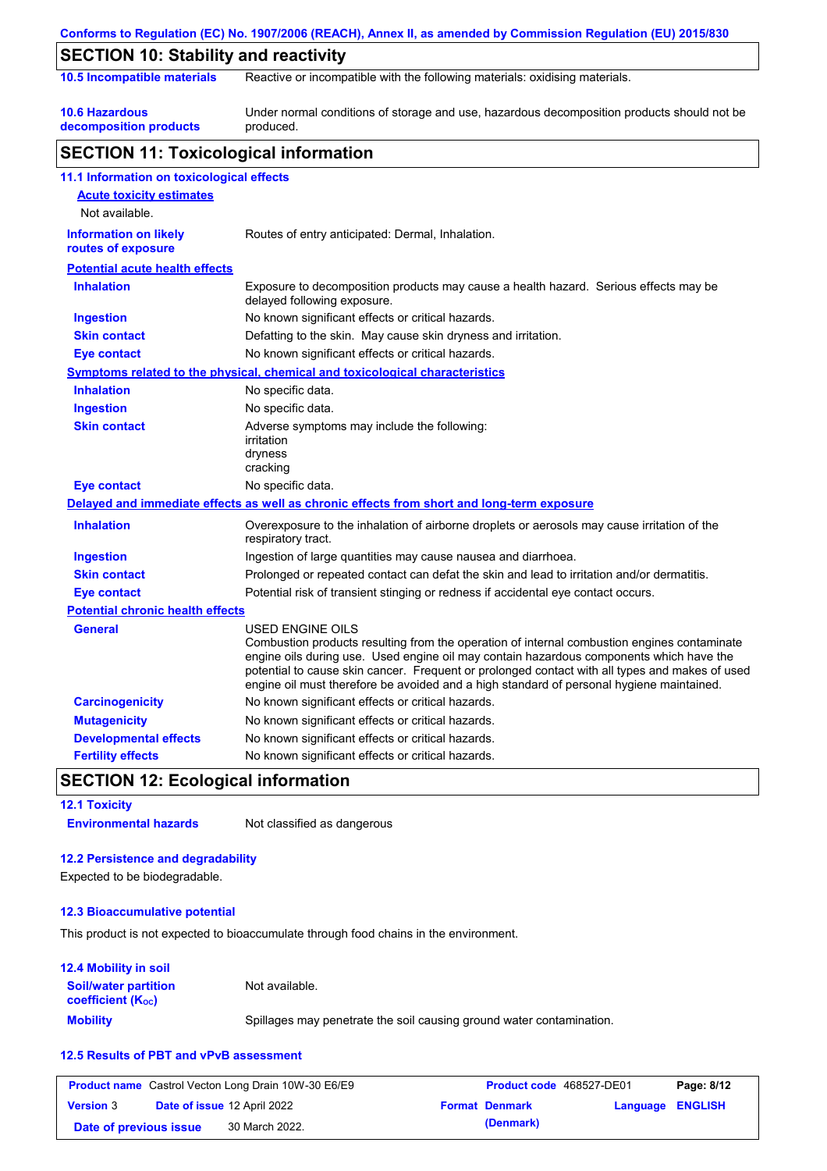|                                                    | Conforms to Regulation (EC) No. 1907/2006 (REACH), Annex II, as amended by Commission Regulation (EU) 2015/830                                                                                                                                                                                                                                                                                                  |
|----------------------------------------------------|-----------------------------------------------------------------------------------------------------------------------------------------------------------------------------------------------------------------------------------------------------------------------------------------------------------------------------------------------------------------------------------------------------------------|
| <b>SECTION 10: Stability and reactivity</b>        |                                                                                                                                                                                                                                                                                                                                                                                                                 |
| 10.5 Incompatible materials                        | Reactive or incompatible with the following materials: oxidising materials.                                                                                                                                                                                                                                                                                                                                     |
| <b>10.6 Hazardous</b><br>decomposition products    | Under normal conditions of storage and use, hazardous decomposition products should not be<br>produced.                                                                                                                                                                                                                                                                                                         |
| <b>SECTION 11: Toxicological information</b>       |                                                                                                                                                                                                                                                                                                                                                                                                                 |
| 11.1 Information on toxicological effects          |                                                                                                                                                                                                                                                                                                                                                                                                                 |
| <b>Acute toxicity estimates</b><br>Not available.  |                                                                                                                                                                                                                                                                                                                                                                                                                 |
| <b>Information on likely</b><br>routes of exposure | Routes of entry anticipated: Dermal, Inhalation.                                                                                                                                                                                                                                                                                                                                                                |
| <b>Potential acute health effects</b>              |                                                                                                                                                                                                                                                                                                                                                                                                                 |
| <b>Inhalation</b>                                  | Exposure to decomposition products may cause a health hazard. Serious effects may be<br>delayed following exposure.                                                                                                                                                                                                                                                                                             |
| <b>Ingestion</b>                                   | No known significant effects or critical hazards.                                                                                                                                                                                                                                                                                                                                                               |
| <b>Skin contact</b>                                | Defatting to the skin. May cause skin dryness and irritation.                                                                                                                                                                                                                                                                                                                                                   |
| <b>Eye contact</b>                                 | No known significant effects or critical hazards.                                                                                                                                                                                                                                                                                                                                                               |
|                                                    | <b>Symptoms related to the physical, chemical and toxicological characteristics</b>                                                                                                                                                                                                                                                                                                                             |
| <b>Inhalation</b>                                  | No specific data.                                                                                                                                                                                                                                                                                                                                                                                               |
| <b>Ingestion</b>                                   | No specific data.                                                                                                                                                                                                                                                                                                                                                                                               |
| <b>Skin contact</b>                                | Adverse symptoms may include the following:<br>irritation<br>dryness<br>cracking                                                                                                                                                                                                                                                                                                                                |
| <b>Eye contact</b>                                 | No specific data.                                                                                                                                                                                                                                                                                                                                                                                               |
|                                                    | Delayed and immediate effects as well as chronic effects from short and long-term exposure                                                                                                                                                                                                                                                                                                                      |
| <b>Inhalation</b>                                  | Overexposure to the inhalation of airborne droplets or aerosols may cause irritation of the<br>respiratory tract.                                                                                                                                                                                                                                                                                               |
| <b>Ingestion</b>                                   | Ingestion of large quantities may cause nausea and diarrhoea.                                                                                                                                                                                                                                                                                                                                                   |
| <b>Skin contact</b>                                | Prolonged or repeated contact can defat the skin and lead to irritation and/or dermatitis.                                                                                                                                                                                                                                                                                                                      |
| <b>Eye contact</b>                                 | Potential risk of transient stinging or redness if accidental eye contact occurs.                                                                                                                                                                                                                                                                                                                               |
| <b>Potential chronic health effects</b>            |                                                                                                                                                                                                                                                                                                                                                                                                                 |
| General                                            | <b>USED ENGINE OILS</b><br>Combustion products resulting from the operation of internal combustion engines contaminate<br>engine oils during use. Used engine oil may contain hazardous components which have the<br>potential to cause skin cancer. Frequent or prolonged contact with all types and makes of used<br>engine oil must therefore be avoided and a high standard of personal hygiene maintained. |
| <b>Carcinogenicity</b>                             | No known significant effects or critical hazards.                                                                                                                                                                                                                                                                                                                                                               |
| <b>Mutagenicity</b>                                | No known significant effects or critical hazards.                                                                                                                                                                                                                                                                                                                                                               |
| <b>Developmental effects</b>                       | No known significant effects or critical hazards.                                                                                                                                                                                                                                                                                                                                                               |
| <b>Fertility effects</b>                           | No known significant effects or critical hazards.                                                                                                                                                                                                                                                                                                                                                               |

## **SECTION 12: Ecological information**

**12.1 Toxicity Environmental hazards** Not classified as dangerous

### **12.2 Persistence and degradability**

Expected to be biodegradable.

### **12.3 Bioaccumulative potential**

This product is not expected to bioaccumulate through food chains in the environment.

### **12.4 Mobility in soil**

| <b>Soil/water partition</b><br><b>coefficient</b> (K <sub>oc</sub> ) | Not available.                                                       |
|----------------------------------------------------------------------|----------------------------------------------------------------------|
| <b>Mobility</b>                                                      | Spillages may penetrate the soil causing ground water contamination. |

### **12.5 Results of PBT and vPvB assessment**

|                        | <b>Product name</b> Castrol Vecton Long Drain 10W-30 E6/E9 | <b>Product code</b> 468527-DE01 |                  | Page: 8/12 |
|------------------------|------------------------------------------------------------|---------------------------------|------------------|------------|
| <b>Version</b> 3       | <b>Date of issue 12 April 2022</b>                         | <b>Format Denmark</b>           | Language ENGLISH |            |
| Date of previous issue | 30 March 2022.                                             | (Denmark)                       |                  |            |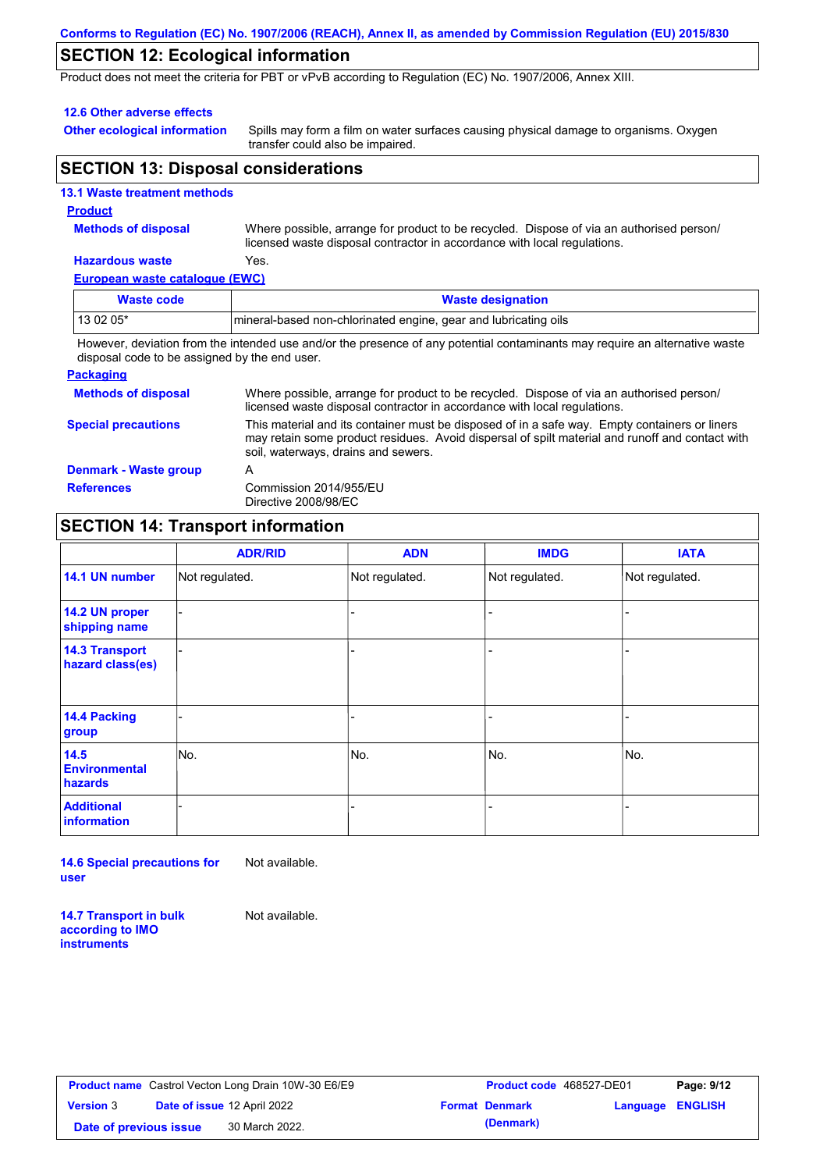### **Conforms to Regulation (EC) No. 1907/2006 (REACH), Annex II, as amended by Commission Regulation (EU) 2015/830**

## **SECTION 12: Ecological information**

Product does not meet the criteria for PBT or vPvB according to Regulation (EC) No. 1907/2006, Annex XIII.

#### **12.6 Other adverse effects**

**Other ecological information**

Spills may form a film on water surfaces causing physical damage to organisms. Oxygen transfer could also be impaired.

### **SECTION 13: Disposal considerations**

|  | <b>13.1 Waste treatment methods</b> |
|--|-------------------------------------|
|  |                                     |

### **Product**

**Methods of disposal**

Where possible, arrange for product to be recycled. Dispose of via an authorised person/ licensed waste disposal contractor in accordance with local regulations.

### **Hazardous waste** Yes.

**European waste catalogue (EWC)**

| Waste code                                                                                                               | <b>Waste designation</b>                                        |  |  |
|--------------------------------------------------------------------------------------------------------------------------|-----------------------------------------------------------------|--|--|
| $130205*$                                                                                                                | mineral-based non-chlorinated engine, gear and lubricating oils |  |  |
| الملحوين ورافع وساجاته والمستحدث والمستحدث والمستنقص والمتحاف والمستحدث والمستحدث والمستحدث والمستحل والمستحدث والمستحلل |                                                                 |  |  |

However, deviation from the intended use and/or the presence of any potential contaminants may require an alternative waste disposal code to be assigned by the end user.

#### **Packaging**

| <b>Methods of disposal</b> | Where possible, arrange for product to be recycled. Dispose of via an authorised person/<br>licensed waste disposal contractor in accordance with local regulations.                                                                    |
|----------------------------|-----------------------------------------------------------------------------------------------------------------------------------------------------------------------------------------------------------------------------------------|
| <b>Special precautions</b> | This material and its container must be disposed of in a safe way. Empty containers or liners<br>may retain some product residues. Avoid dispersal of spilt material and runoff and contact with<br>soil, waterways, drains and sewers. |
| Denmark - Waste group      | А                                                                                                                                                                                                                                       |
| <b>References</b>          | Commission 2014/955/EU<br>Directive 2008/98/EC                                                                                                                                                                                          |

## **SECTION 14: Transport information**

|                                           | <b>ADR/RID</b> | <b>ADN</b>     | <b>IMDG</b>    | <b>IATA</b>    |
|-------------------------------------------|----------------|----------------|----------------|----------------|
| 14.1 UN number                            | Not regulated. | Not regulated. | Not regulated. | Not regulated. |
| 14.2 UN proper<br>shipping name           |                |                |                |                |
| <b>14.3 Transport</b><br>hazard class(es) |                |                |                |                |
| 14.4 Packing<br>group                     |                |                |                |                |
| 14.5<br><b>Environmental</b><br>hazards   | No.            | No.            | No.            | No.            |
| <b>Additional</b><br>information          |                |                |                |                |

**14.6 Special precautions for user** Not available.

**14.7 Transport in bulk according to IMO instruments**

Not available.

**Version** 3 **Date of issue** 12 April 2022 **Formation Date of previous issue** 30 March 2022.

|                        |                                    | <b>Product name</b> Castrol Vecton Long Drain 10W-30 E6/E9 | <b>Product code</b> 468527-DE01 |                  | Page: 9/12 |
|------------------------|------------------------------------|------------------------------------------------------------|---------------------------------|------------------|------------|
| <b>Version</b> 3       | <b>Date of issue 12 April 2022</b> |                                                            | <b>Format Denmark</b>           | Language ENGLISH |            |
| Date of previous issue |                                    | 30 March 2022.                                             | (Denmark)                       |                  |            |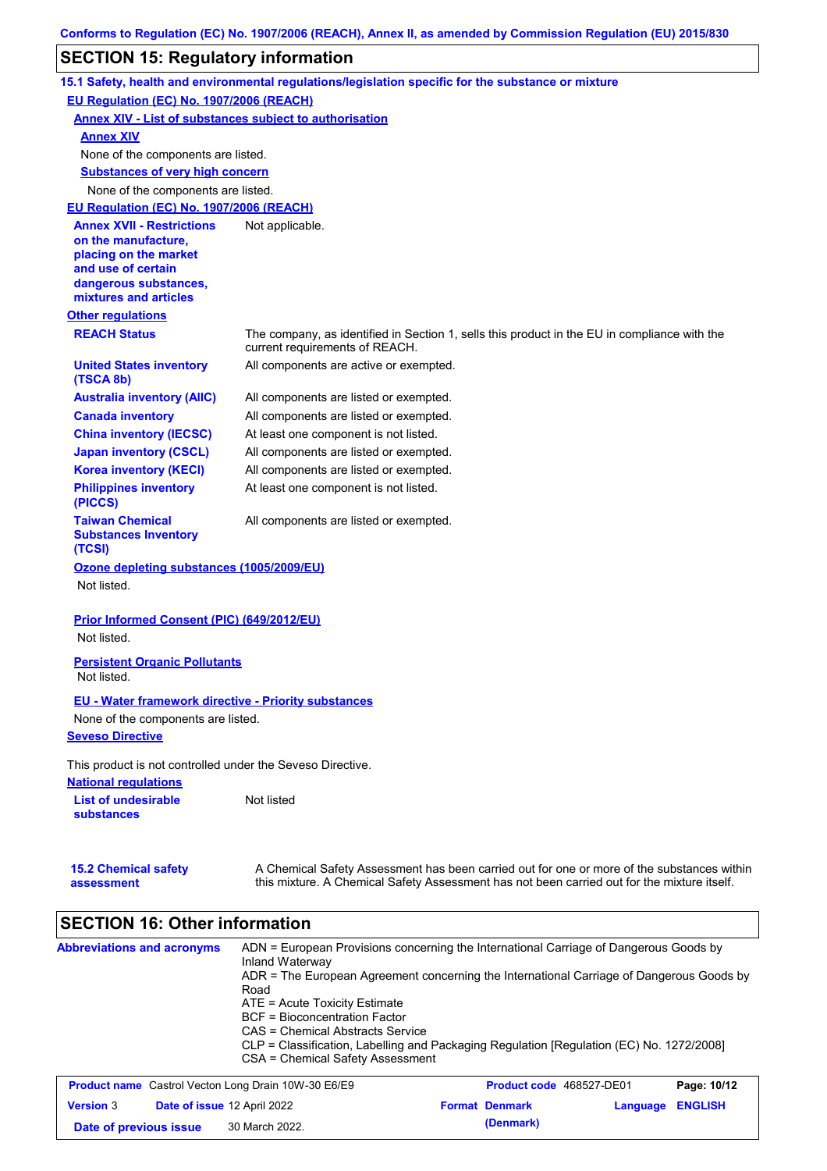# **SECTION 15: Regulatory information**

|                                                                 | 15.1 Safety, health and environmental regulations/legislation specific for the substance or mixture                                                                                       |
|-----------------------------------------------------------------|-------------------------------------------------------------------------------------------------------------------------------------------------------------------------------------------|
| EU Regulation (EC) No. 1907/2006 (REACH)                        |                                                                                                                                                                                           |
|                                                                 | <b>Annex XIV - List of substances subject to authorisation</b>                                                                                                                            |
| <b>Annex XIV</b>                                                |                                                                                                                                                                                           |
| None of the components are listed.                              |                                                                                                                                                                                           |
| <b>Substances of very high concern</b>                          |                                                                                                                                                                                           |
| None of the components are listed.                              |                                                                                                                                                                                           |
| EU Regulation (EC) No. 1907/2006 (REACH)                        |                                                                                                                                                                                           |
| <b>Annex XVII - Restrictions</b>                                | Not applicable.                                                                                                                                                                           |
| on the manufacture,<br>placing on the market                    |                                                                                                                                                                                           |
| and use of certain                                              |                                                                                                                                                                                           |
| dangerous substances,                                           |                                                                                                                                                                                           |
| mixtures and articles                                           |                                                                                                                                                                                           |
| <b>Other regulations</b>                                        |                                                                                                                                                                                           |
| <b>REACH Status</b>                                             | The company, as identified in Section 1, sells this product in the EU in compliance with the<br>current requirements of REACH.                                                            |
| <b>United States inventory</b><br>(TSCA 8b)                     | All components are active or exempted.                                                                                                                                                    |
| <b>Australia inventory (AIIC)</b>                               | All components are listed or exempted.                                                                                                                                                    |
| <b>Canada inventory</b>                                         | All components are listed or exempted.                                                                                                                                                    |
| <b>China inventory (IECSC)</b>                                  | At least one component is not listed.                                                                                                                                                     |
| <b>Japan inventory (CSCL)</b>                                   | All components are listed or exempted.                                                                                                                                                    |
| <b>Korea inventory (KECI)</b>                                   | All components are listed or exempted.                                                                                                                                                    |
| <b>Philippines inventory</b><br>(PICCS)                         | At least one component is not listed.                                                                                                                                                     |
| <b>Taiwan Chemical</b><br><b>Substances Inventory</b><br>(TCSI) | All components are listed or exempted.                                                                                                                                                    |
| Ozone depleting substances (1005/2009/EU)                       |                                                                                                                                                                                           |
| Not listed.                                                     |                                                                                                                                                                                           |
| Prior Informed Consent (PIC) (649/2012/EU)<br>Not listed.       |                                                                                                                                                                                           |
| <b>Persistent Organic Pollutants</b><br>Not listed.             |                                                                                                                                                                                           |
| EU - Water framework directive - Priority substances            |                                                                                                                                                                                           |
| None of the components are listed.                              |                                                                                                                                                                                           |
| <b>Seveso Directive</b>                                         |                                                                                                                                                                                           |
| This product is not controlled under the Seveso Directive.      |                                                                                                                                                                                           |
| <b>National requlations</b>                                     |                                                                                                                                                                                           |
| <b>List of undesirable</b><br><b>substances</b>                 | Not listed                                                                                                                                                                                |
| <b>15.2 Chemical safety</b><br>assessment                       | A Chemical Safety Assessment has been carried out for one or more of the substances within<br>this mixture. A Chemical Safety Assessment has not been carried out for the mixture itself. |

# **SECTION 16: Other information**

| <b>Abbreviations and acronyms</b> | ADN = European Provisions concerning the International Carriage of Dangerous Goods by<br>Inland Waterway |
|-----------------------------------|----------------------------------------------------------------------------------------------------------|
|                                   | ADR = The European Agreement concerning the International Carriage of Dangerous Goods by<br>Road         |
|                                   | $ATE = Acute Toxicity Estimate$                                                                          |
|                                   | BCF = Bioconcentration Factor                                                                            |
|                                   | CAS = Chemical Abstracts Service                                                                         |
|                                   | CLP = Classification, Labelling and Packaging Regulation [Regulation (EC) No. 1272/2008]                 |
|                                   | CSA = Chemical Safety Assessment                                                                         |

| <b>Product name</b> Castrol Vecton Long Drain 10W-30 E6/E9 |  | <b>Product code</b> 468527-DE01    |  | Page: 10/12           |                  |  |
|------------------------------------------------------------|--|------------------------------------|--|-----------------------|------------------|--|
| <b>Version 3</b>                                           |  | <b>Date of issue 12 April 2022</b> |  | <b>Format Denmark</b> | Language ENGLISH |  |
| Date of previous issue                                     |  | 30 March 2022.                     |  | (Denmark)             |                  |  |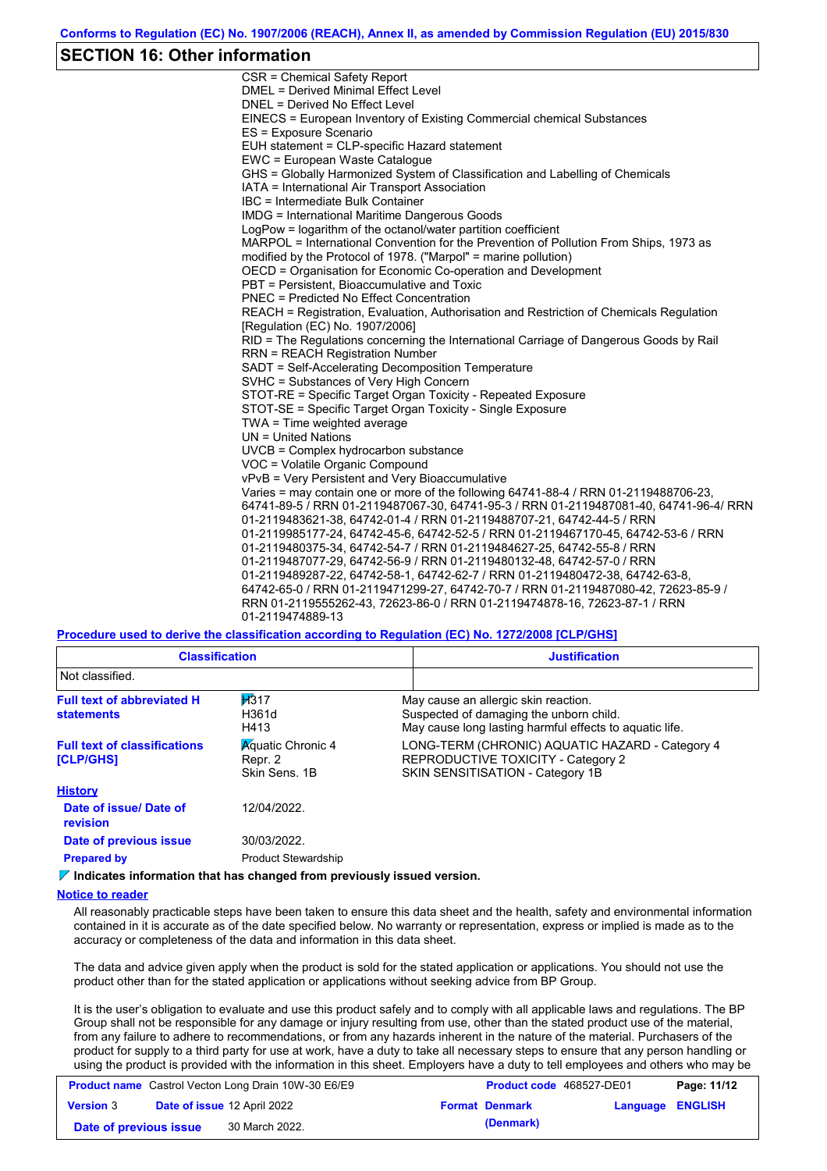### **SECTION 16: Other information**

CSR = Chemical Safety Report DMEL = Derived Minimal Effect Level DNEL = Derived No Effect Level EINECS = European Inventory of Existing Commercial chemical Substances ES = Exposure Scenario EUH statement = CLP-specific Hazard statement EWC = European Waste Catalogue GHS = Globally Harmonized System of Classification and Labelling of Chemicals IATA = International Air Transport Association IBC = Intermediate Bulk Container IMDG = International Maritime Dangerous Goods LogPow = logarithm of the octanol/water partition coefficient MARPOL = International Convention for the Prevention of Pollution From Ships, 1973 as modified by the Protocol of 1978. ("Marpol" = marine pollution) OECD = Organisation for Economic Co-operation and Development PBT = Persistent, Bioaccumulative and Toxic PNEC = Predicted No Effect Concentration REACH = Registration, Evaluation, Authorisation and Restriction of Chemicals Regulation [Regulation (EC) No. 1907/2006] RID = The Regulations concerning the International Carriage of Dangerous Goods by Rail RRN = REACH Registration Number SADT = Self-Accelerating Decomposition Temperature SVHC = Substances of Very High Concern STOT-RE = Specific Target Organ Toxicity - Repeated Exposure STOT-SE = Specific Target Organ Toxicity - Single Exposure TWA = Time weighted average UN = United Nations UVCB = Complex hydrocarbon substance VOC = Volatile Organic Compound vPvB = Very Persistent and Very Bioaccumulative Varies = may contain one or more of the following 64741-88-4 / RRN 01-2119488706-23, 64741-89-5 / RRN 01-2119487067-30, 64741-95-3 / RRN 01-2119487081-40, 64741-96-4/ RRN 01-2119483621-38, 64742-01-4 / RRN 01-2119488707-21, 64742-44-5 / RRN 01-2119985177-24, 64742-45-6, 64742-52-5 / RRN 01-2119467170-45, 64742-53-6 / RRN 01-2119480375-34, 64742-54-7 / RRN 01-2119484627-25, 64742-55-8 / RRN 01-2119487077-29, 64742-56-9 / RRN 01-2119480132-48, 64742-57-0 / RRN 01-2119489287-22, 64742-58-1, 64742-62-7 / RRN 01-2119480472-38, 64742-63-8, 64742-65-0 / RRN 01-2119471299-27, 64742-70-7 / RRN 01-2119487080-42, 72623-85-9 / RRN 01-2119555262-43, 72623-86-0 / RRN 01-2119474878-16, 72623-87-1 / RRN 01-2119474889-13

**Procedure used to derive the classification according to Regulation (EC) No. 1272/2008 [CLP/GHS]**

| <b>Classification</b>                                                                  |                                                      | <b>Justification</b>                                                                                                                       |
|----------------------------------------------------------------------------------------|------------------------------------------------------|--------------------------------------------------------------------------------------------------------------------------------------------|
| Not classified.                                                                        |                                                      |                                                                                                                                            |
| H317<br><b>Full text of abbreviated H</b><br>H361d<br><b>statements</b><br>H413        |                                                      | May cause an allergic skin reaction.<br>Suspected of damaging the unborn child.<br>May cause long lasting harmful effects to aquatic life. |
| <b>Full text of classifications</b><br><b>[CLP/GHS]</b>                                | <b>Aguatic Chronic 4</b><br>Repr. 2<br>Skin Sens, 1B | LONG-TERM (CHRONIC) AQUATIC HAZARD - Category 4<br>REPRODUCTIVE TOXICITY - Category 2<br>SKIN SENSITISATION - Category 1B                  |
| <b>History</b>                                                                         |                                                      |                                                                                                                                            |
| Date of issue/Date of<br>revision                                                      | 12/04/2022.                                          |                                                                                                                                            |
| Date of previous issue                                                                 | 30/03/2022.                                          |                                                                                                                                            |
| <b>Prepared by</b>                                                                     | <b>Product Stewardship</b>                           |                                                                                                                                            |
| $\triangledown$ Indicates information that has changed from previously issued version. |                                                      |                                                                                                                                            |

#### **Notice to reader**

All reasonably practicable steps have been taken to ensure this data sheet and the health, safety and environmental information contained in it is accurate as of the date specified below. No warranty or representation, express or implied is made as to the accuracy or completeness of the data and information in this data sheet.

The data and advice given apply when the product is sold for the stated application or applications. You should not use the product other than for the stated application or applications without seeking advice from BP Group.

It is the user's obligation to evaluate and use this product safely and to comply with all applicable laws and regulations. The BP Group shall not be responsible for any damage or injury resulting from use, other than the stated product use of the material, from any failure to adhere to recommendations, or from any hazards inherent in the nature of the material. Purchasers of the product for supply to a third party for use at work, have a duty to take all necessary steps to ensure that any person handling or using the product is provided with the information in this sheet. Employers have a duty to tell employees and others who may be

| <b>Product name</b> Castrol Vecton Long Drain 10W-30 E6/E9 |  |                                    | <b>Product code</b> 468527-DE01 | Page: 11/12           |                  |  |
|------------------------------------------------------------|--|------------------------------------|---------------------------------|-----------------------|------------------|--|
| <b>Version 3</b>                                           |  | <b>Date of issue 12 April 2022</b> |                                 | <b>Format Denmark</b> | Language ENGLISH |  |
| Date of previous issue                                     |  | 30 March 2022.                     |                                 | (Denmark)             |                  |  |